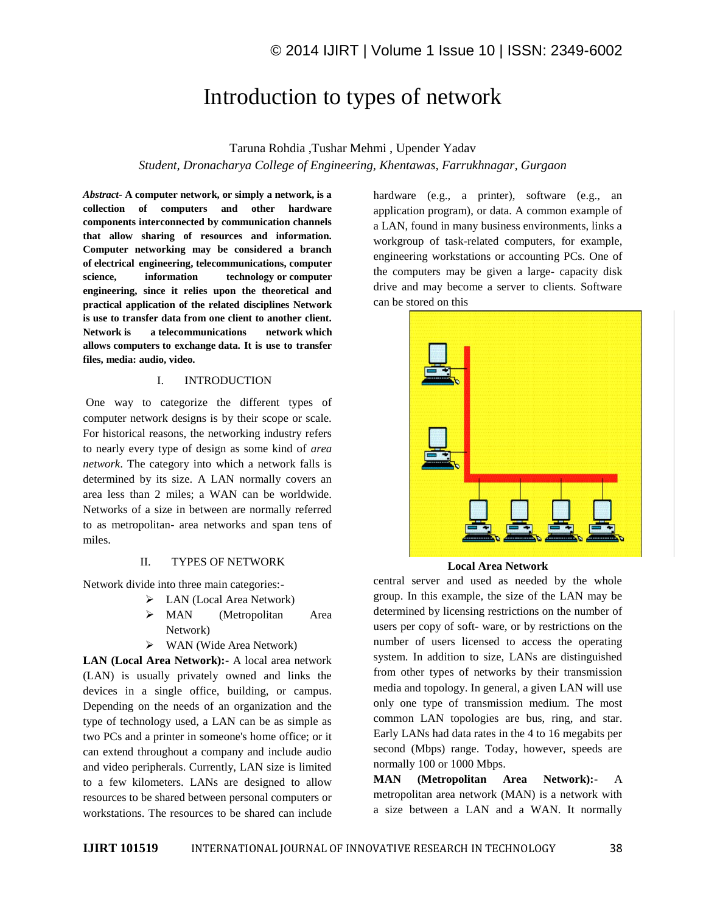# Introduction to types of network

Taruna Rohdia ,Tushar Mehmi , Upender Yadav *Student, Dronacharya College of Engineering, Khentawas, Farrukhnagar, Gurgaon*

*Abstract-* **A computer network, or simply a network, is a collection of computers and other hardware components interconnected by communication channels that allow sharing of resources and information. Computer networking may be considered a branch of electrical engineering, telecommunications, computer science, information technology or computer engineering, since it relies upon the theoretical and practical application of the related disciplines Network is use to transfer data from one client to another client. Network is a telecommunications network which allows computers to exchange data. It is use to transfer files, media: audio, video.**

## I. INTRODUCTION

One way to categorize the different types of computer network designs is by their scope or scale. For historical reasons, the networking industry refers to nearly every type of design as some kind of *area network*. The category into which a network falls is determined by its size. A LAN normally covers an area less than 2 miles; a WAN can be worldwide. Networks of a size in between are normally referred to as metropolitan- area networks and span tens of miles.

### II. TYPES OF NETWORK

Network divide into three main categories:-

- $\triangleright$  LAN (Local Area Network)
	- > MAN (Metropolitan Area Network)
	- $\triangleright$  WAN (Wide Area Network)

**LAN (Local Area Network):-** A local area network (LAN) is usually privately owned and links the devices in a single office, building, or campus. Depending on the needs of an organization and the type of technology used, a LAN can be as simple as two PCs and a printer in someone's home office; or it can extend throughout a company and include audio and video peripherals. Currently, LAN size is limited to a few kilometers. LANs are designed to allow resources to be shared between personal computers or workstations. The resources to be shared can include

hardware (e.g., a printer), software (e.g., an application program), or data. A common example of a LAN, found in many business environments, links a workgroup of task-related computers, for example, engineering workstations or accounting PCs. One of the computers may be given a large- capacity disk drive and may become a server to clients. Software can be stored on this



#### **Local Area Network**

central server and used as needed by the whole group. In this example, the size of the LAN may be determined by licensing restrictions on the number of users per copy of soft- ware, or by restrictions on the number of users licensed to access the operating system. In addition to size, LANs are distinguished from other types of networks by their transmission media and topology. In general, a given LAN will use only one type of transmission medium. The most common LAN topologies are bus, ring, and star. Early LANs had data rates in the 4 to 16 megabits per second (Mbps) range. Today, however, speeds are normally 100 or 1000 Mbps.

**MAN (Metropolitan Area Network):-** A metropolitan area network (MAN) is a network with a size between a LAN and a WAN. It normally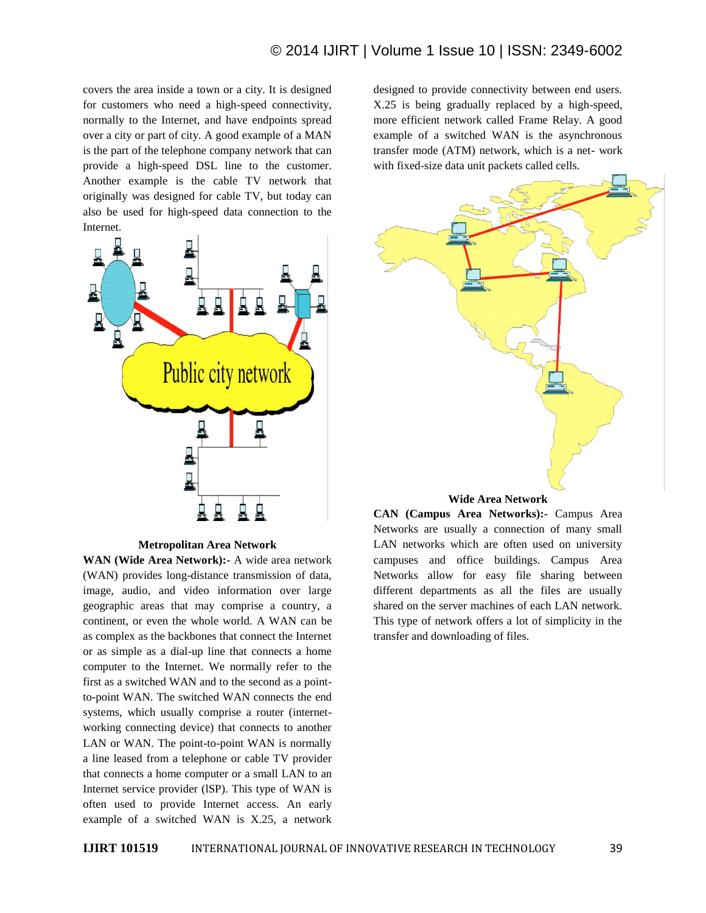covers the area inside a town or a city. It is designed for customers who need a high-speed connectivity, normally to the Internet, and have endpoints spread over a city or part of city. A good example of a MAN is the part of the telephone company network that can provide a high-speed DSL line to the customer. Another example is the cable TV network that originally was designed for cable TV, but today can also be used for high-speed data connection to the Internet.



**Metropolitan Area Network**

**WAN (Wide Area Network):-** A wide area network (WAN) provides long-distance transmission of data, image, audio, and video information over large geographic areas that may comprise a country, a continent, or even the whole world. A WAN can be as complex as the backbones that connect the Internet or as simple as a dial-up line that connects a home computer to the Internet. We normally refer to the first as a switched WAN and to the second as a pointto-point WAN. The switched WAN connects the end systems, which usually comprise a router (internetworking connecting device) that connects to another LAN or WAN. The point-to-point WAN is normally a line leased from a telephone or cable TV provider that connects a home computer or a small LAN to an Internet service provider (lSP). This type of WAN is often used to provide Internet access. An early example of a switched WAN is X.25, a network

designed to provide connectivity between end users. X.25 is being gradually replaced by a high-speed, more efficient network called Frame Relay. A good example of a switched WAN is the asynchronous transfer mode (ATM) network, which is a net- work with fixed-size data unit packets called cells.



**Wide Area Network**

**CAN (Campus Area Networks):-** Campus Area Networks are usually a connection of many small LAN networks which are often used on university campuses and office buildings. Campus Area Networks allow for easy file sharing between different departments as all the files are usually shared on the server machines of each LAN network. This type of network offers a lot of simplicity in the transfer and downloading of files.